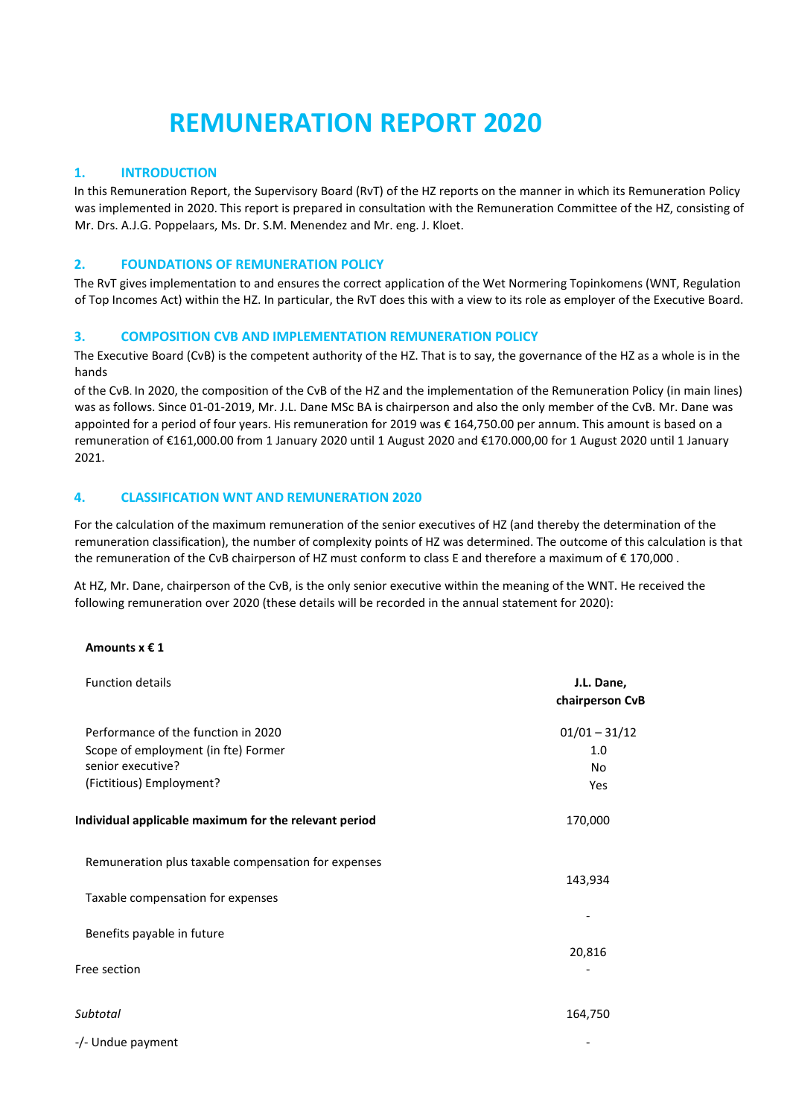# **REMUNERATION REPORT 2020**

### **1. INTRODUCTION**

In this Remuneration Report, the Supervisory Board (RvT) of the HZ reports on the manner in which its Remuneration Policy was implemented in 2020. This report is prepared in consultation with the Remuneration Committee of the HZ, consisting of Mr. Drs. A.J.G. Poppelaars, Ms. Dr. S.M. Menendez and Mr. eng. J. Kloet.

### **2. FOUNDATIONS OF REMUNERATION POLICY**

The RvT gives implementation to and ensures the correct application of the Wet Normering Topinkomens (WNT, Regulation of Top Incomes Act) within the HZ. In particular, the RvT does this with a view to its role as employer of the Executive Board.

### **3. COMPOSITION CVB AND IMPLEMENTATION REMUNERATION POLICY**

The Executive Board (CvB) is the competent authority of the HZ. That is to say, the governance of the HZ as a whole is in the hands

of the CvB. In 2020, the composition of the CvB of the HZ and the implementation of the Remuneration Policy (in main lines) was as follows. Since 01-01-2019, Mr. J.L. Dane MSc BA is chairperson and also the only member of the CvB. Mr. Dane was appointed for a period of four years. His remuneration for 2019 was € 164,750.00 per annum. This amount is based on a remuneration of €161,000.00 from 1 January 2020 until 1 August 2020 and €170.000,00 for 1 August 2020 until 1 January 2021.

### **4. CLASSIFICATION WNT AND REMUNERATION 2020**

For the calculation of the maximum remuneration of the senior executives of HZ (and thereby the determination of the remuneration classification), the number of complexity points of HZ was determined. The outcome of this calculation is that the remuneration of the CvB chairperson of HZ must conform to class E and therefore a maximum of €170,000.

At HZ, Mr. Dane, chairperson of the CvB, is the only senior executive within the meaning of the WNT. He received the following remuneration over 2020 (these details will be recorded in the annual statement for 2020):

### **Amounts x € 1**

| <b>Function details</b>                                                    | J.L. Dane,<br>chairperson CvB |
|----------------------------------------------------------------------------|-------------------------------|
| Performance of the function in 2020<br>Scope of employment (in fte) Former | $01/01 - 31/12$<br>1.0        |
| senior executive?                                                          | No                            |
| (Fictitious) Employment?                                                   | Yes                           |
| Individual applicable maximum for the relevant period                      | 170,000                       |
| Remuneration plus taxable compensation for expenses                        | 143,934                       |
| Taxable compensation for expenses                                          |                               |
| Benefits payable in future                                                 |                               |
| Free section                                                               | 20,816                        |
| Subtotal                                                                   | 164,750                       |
| -/- Undue payment                                                          |                               |
|                                                                            |                               |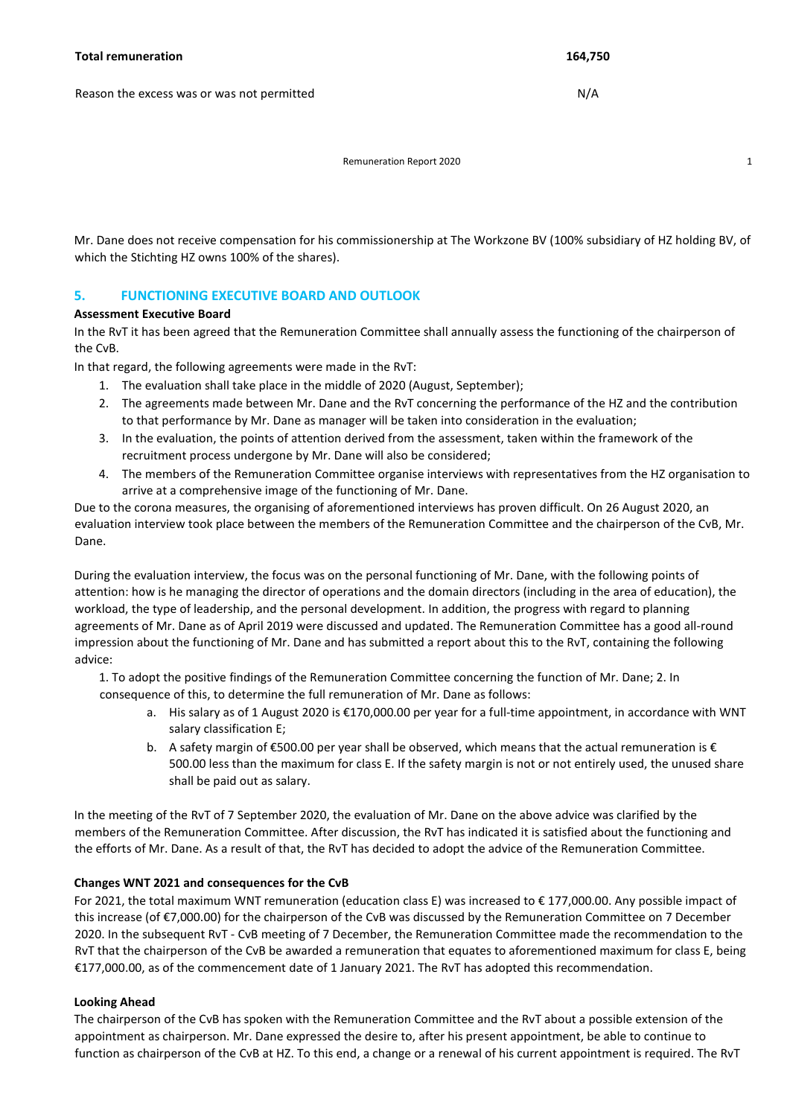Remuneration Report 2020 **1 1** 

Mr. Dane does not receive compensation for his commissionership at The Workzone BV (100% subsidiary of HZ holding BV, of which the Stichting HZ owns 100% of the shares).

## **5. FUNCTIONING EXECUTIVE BOARD AND OUTLOOK**

#### **Assessment Executive Board**

In the RvT it has been agreed that the Remuneration Committee shall annually assess the functioning of the chairperson of the CvB.

In that regard, the following agreements were made in the RvT:

- 1. The evaluation shall take place in the middle of 2020 (August, September);
- 2. The agreements made between Mr. Dane and the RvT concerning the performance of the HZ and the contribution to that performance by Mr. Dane as manager will be taken into consideration in the evaluation;
- 3. In the evaluation, the points of attention derived from the assessment, taken within the framework of the recruitment process undergone by Mr. Dane will also be considered;
- 4. The members of the Remuneration Committee organise interviews with representatives from the HZ organisation to arrive at a comprehensive image of the functioning of Mr. Dane.

Due to the corona measures, the organising of aforementioned interviews has proven difficult. On 26 August 2020, an evaluation interview took place between the members of the Remuneration Committee and the chairperson of the CvB, Mr. Dane.

During the evaluation interview, the focus was on the personal functioning of Mr. Dane, with the following points of attention: how is he managing the director of operations and the domain directors (including in the area of education), the workload, the type of leadership, and the personal development. In addition, the progress with regard to planning agreements of Mr. Dane as of April 2019 were discussed and updated. The Remuneration Committee has a good all-round impression about the functioning of Mr. Dane and has submitted a report about this to the RvT, containing the following advice:

1. To adopt the positive findings of the Remuneration Committee concerning the function of Mr. Dane; 2. In consequence of this, to determine the full remuneration of Mr. Dane as follows:

- a. His salary as of 1 August 2020 is €170,000.00 per year for a full-time appointment, in accordance with WNT salary classification E;
- b. A safety margin of €500.00 per year shall be observed, which means that the actual remuneration is € 500.00 less than the maximum for class E. If the safety margin is not or not entirely used, the unused share shall be paid out as salary.

In the meeting of the RvT of 7 September 2020, the evaluation of Mr. Dane on the above advice was clarified by the members of the Remuneration Committee. After discussion, the RvT has indicated it is satisfied about the functioning and the efforts of Mr. Dane. As a result of that, the RvT has decided to adopt the advice of the Remuneration Committee.

### **Changes WNT 2021 and consequences for the CvB**

For 2021, the total maximum WNT remuneration (education class E) was increased to € 177,000.00. Any possible impact of this increase (of €7,000.00) for the chairperson of the CvB was discussed by the Remuneration Committee on 7 December 2020. In the subsequent RvT - CvB meeting of 7 December, the Remuneration Committee made the recommendation to the RvT that the chairperson of the CvB be awarded a remuneration that equates to aforementioned maximum for class E, being €177,000.00, as of the commencement date of 1 January 2021. The RvT has adopted this recommendation.

### **Looking Ahead**

The chairperson of the CvB has spoken with the Remuneration Committee and the RvT about a possible extension of the appointment as chairperson. Mr. Dane expressed the desire to, after his present appointment, be able to continue to function as chairperson of the CvB at HZ. To this end, a change or a renewal of his current appointment is required. The RvT